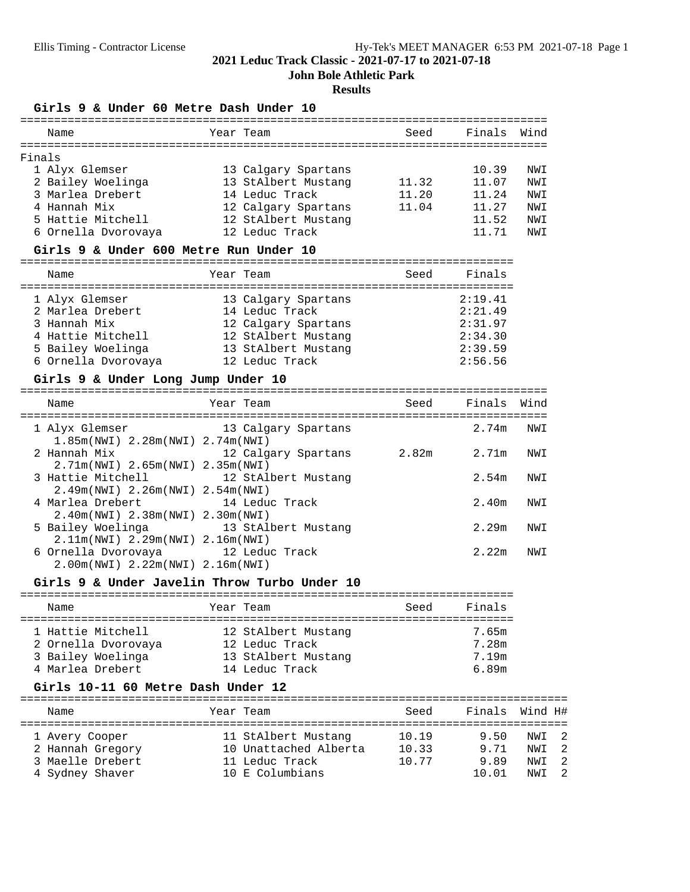=========================================================================

**John Bole Athletic Park**

# **Results**

**Girls 9 & Under 60 Metre Dash Under 10**

|        | Name                | Year Team           | Seed  | Finals | Wind |
|--------|---------------------|---------------------|-------|--------|------|
| Finals |                     |                     |       |        |      |
|        | 1 Alyx Glemser      | 13 Calgary Spartans |       | 10.39  | NWI  |
|        | 2 Bailey Woelinga   | 13 StAlbert Mustang | 11.32 | 11.07  | NWI  |
|        | 3 Marlea Drebert    | 14 Leduc Track      | 11.20 | 11.24  | NWI  |
|        | 4 Hannah Mix        | 12 Calgary Spartans | 11.04 | 11.27  | NWI  |
|        | 5 Hattie Mitchell   | 12 StAlbert Mustang |       | 11.52  | NWI  |
|        | 6 Ornella Dvorovaya | 12 Leduc Track      |       | 11.71  | NWI  |
|        |                     |                     |       |        |      |

# **Girls 9 & Under 600 Metre Run Under 10**

| Name                               | Year Team                             | Seed | Finals             |
|------------------------------------|---------------------------------------|------|--------------------|
| 1 Alyx Glemser<br>2 Marlea Drebert | 13 Calgary Spartans<br>14 Leduc Track |      | 2:19.41<br>2:21.49 |
| 3 Hannah Mix                       | 12 Calgary Spartans                   |      | 2:31.97            |
| 4 Hattie Mitchell                  | 12 StAlbert Mustang                   |      | 2:34.30            |
| 5 Bailey Woelinga                  | 13 StAlbert Mustang                   |      | 2:39.59            |
| 6 Ornella Dvorovaya                | 12 Leduc Track                        |      | 2:56.56            |

# **Girls 9 & Under Long Jump Under 10**

| Name                                                                   | Year Team           | Seed  | Finals | Wind |
|------------------------------------------------------------------------|---------------------|-------|--------|------|
| 1 Alyx Glemser<br>$1.85m(NWL)$ 2.28 $m(NWL)$ 2.74 $m(NWL)$             | 13 Calgary Spartans |       | 2.74m  | NWI  |
| 2 Hannah Mix<br>2.71m(NWI) 2.65m(NWI) 2.35m(NWI)                       | 12 Calgary Spartans | 2.82m | 2.71m  | NWI  |
| 3 Hattie Mitchell 12 StAlbert Mustang                                  |                     |       | 2.54m  | NWI  |
| $2.49m(NWI)$ 2.26m(NWI) 2.54m(NWI)<br>4 Marlea Drebert                 | 14 Leduc Track      |       | 2.40m  | NWI  |
| 2.40m(NWI) 2.38m(NWI) 2.30m(NWI)<br>5 Bailey Woelinga                  | 13 StAlbert Mustang |       | 2.29m  | NWI  |
| 2.11m(NWI) 2.29m(NWI) 2.16m(NWI)<br>6 Ornella Dvorovaya 12 Leduc Track |                     |       | 2.22m  | NWI  |
| 2.00m(NWI) 2.22m(NWI) 2.16m(NWI)                                       |                     |       |        |      |

# **Girls 9 & Under Javelin Throw Turbo Under 10**

| Name                                     | Year Team |                                       | Seed | Finals         |
|------------------------------------------|-----------|---------------------------------------|------|----------------|
| 1 Hattie Mitchell<br>2 Ornella Dvorovaya |           | 12 StAlbert Mustang<br>12 Leduc Track |      | 7.65m<br>7.28m |
| 3 Bailey Woelinga<br>4 Marlea Drebert    |           | 13 StAlbert Mustang<br>14 Leduc Track |      | 7.19m<br>6.89m |

## **Girls 10-11 60 Metre Dash Under 12**

| Name                                                                      | Year Team                                                                         | Seed                    |                               | Finals Wind H#                   |
|---------------------------------------------------------------------------|-----------------------------------------------------------------------------------|-------------------------|-------------------------------|----------------------------------|
| 1 Avery Cooper<br>2 Hannah Gregory<br>3 Maelle Drebert<br>4 Sydney Shaver | 11 StAlbert Mustang<br>10 Unattached Alberta<br>11 Leduc Track<br>10 E Columbians | 10.19<br>10.33<br>10.77 | 9.50<br>9.71<br>9.89<br>10 01 | NWT 2<br>NWI 2<br>NWI 2<br>NWT 2 |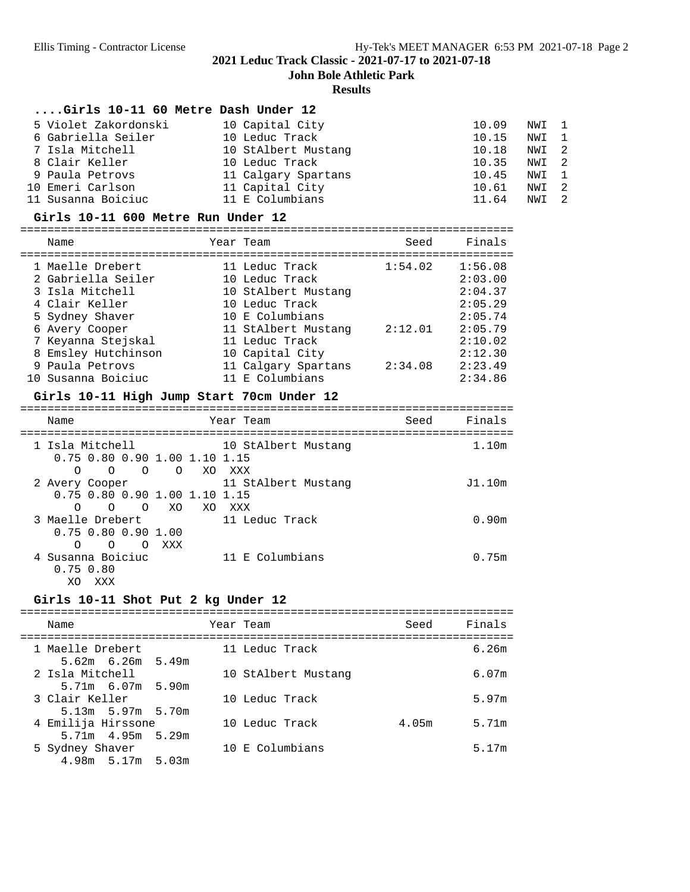**John Bole Athletic Park**

#### **Results**

# **....Girls 10-11 60 Metre Dash Under 12**

| 5 Violet Zakordonski | 10 Capital City     | 10.09 | NWI 1 |  |
|----------------------|---------------------|-------|-------|--|
| 6 Gabriella Seiler   | 10 Leduc Track      | 10.15 | NWI 1 |  |
| 7 Isla Mitchell      | 10 StAlbert Mustang | 10.18 | NWI 2 |  |
| 8 Clair Keller       | 10 Leduc Track      | 10.35 | NWI 2 |  |
| 9 Paula Petrovs      | 11 Calgary Spartans | 10.45 | NWI 1 |  |
| 10 Emeri Carlson     | 11 Capital City     | 10.61 | NWI 2 |  |
| 11 Susanna Boiciuc   | 11 E Columbians     | 11.64 | NWI 2 |  |

#### **Girls 10-11 600 Metre Run Under 12**

=========================================================================

| Name                |                  | Seed                                                                                                                                                                                                            | Finals  |
|---------------------|------------------|-----------------------------------------------------------------------------------------------------------------------------------------------------------------------------------------------------------------|---------|
|                     |                  |                                                                                                                                                                                                                 |         |
|                     |                  |                                                                                                                                                                                                                 | 1:56.08 |
| 2 Gabriella Seiler  |                  |                                                                                                                                                                                                                 | 2:03.00 |
| 3 Isla Mitchell     |                  |                                                                                                                                                                                                                 | 2:04.37 |
| 4 Clair Keller      |                  |                                                                                                                                                                                                                 | 2:05.29 |
| 5 Sydney Shaver     |                  |                                                                                                                                                                                                                 | 2:05.74 |
| 6 Avery Cooper      |                  | 2:12.01                                                                                                                                                                                                         | 2:05.79 |
| 7 Keyanna Stejskal  |                  |                                                                                                                                                                                                                 | 2:10.02 |
| 8 Emsley Hutchinson |                  |                                                                                                                                                                                                                 | 2:12.30 |
| 9 Paula Petrovs     |                  | 2:34.08                                                                                                                                                                                                         | 2:23.49 |
| 10 Susanna Boiciuc  |                  |                                                                                                                                                                                                                 | 2:34.86 |
|                     | 1 Maelle Drebert | Year Team<br>11 Leduc Track<br>10 Leduc Track<br>10 StAlbert Mustang<br>10 Leduc Track<br>10 E Columbians<br>11 StAlbert Mustang<br>11 Leduc Track<br>10 Capital City<br>11 Calgary Spartans<br>11 E Columbians | 1:54.02 |

# **Girls 10-11 High Jump Start 70cm Under 12**

| Name                                                                                 | Year Team                                                           | Seed | Finals |
|--------------------------------------------------------------------------------------|---------------------------------------------------------------------|------|--------|
| 1 Isla Mitchell                                                                      | 10 StAlbert Mustang<br>0.75 0.80 0.90 1.00 1.10 1.15                |      | 1.10m  |
| $\Omega$<br>$\Omega$<br>$\Omega$<br>2 Avery Cooper                                   | O XO<br>XXX<br>11 StAlbert Mustang<br>0.75 0.80 0.90 1.00 1.10 1.15 |      | J1.10m |
| $\Omega$<br>$\Omega$<br>$\Omega$<br>3 Maelle Drebert<br>$0.75$ $0.80$ $0.90$ 1.00    | XO<br>XO<br>XXX<br>11 Leduc Track                                   |      | 0.90m  |
| $\Omega$<br>$\Omega$<br>$\Omega$<br>4 Susanna Boiciuc<br>$0.75$ $0.80$<br>XO.<br>XXX | XXX<br>11 E Columbians                                              |      | 0.75m  |

#### **Girls 10-11 Shot Put 2 kg Under 12**

#### ========================================================================= Name Year Team Seed Finals ========================================================================= 1 Maelle Drebert 11 Leduc Track 6.26m 5.62m 6.26m 5.49m 10 StAlbert Mustang 6.07m 5.71m 6.07m 5.90m 10 Leduc Track 5.97m 5.13m 5.97m 5.70m 4 Emilija Hirssone 10 Leduc Track 4.05m 5.71m 5.71m 4.95m 5.29m<br>5 Sydney Shaver 10 E Columbians 5.17m 4.98m 5.17m 5.03m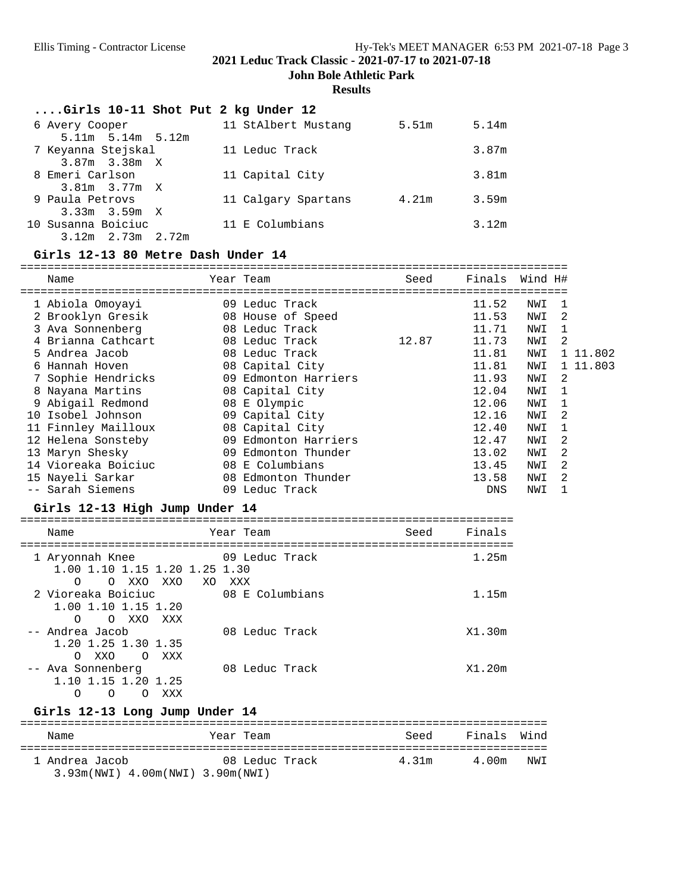**John Bole Athletic Park**

# **Results**

| $\ldots$ Girls 10-11 Shot Put 2 kg Under 12 |                     |       |       |
|---------------------------------------------|---------------------|-------|-------|
| 6 Avery Cooper                              | 11 StAlbert Mustang | 5.51m | 5.14m |
| $5.11m$ $5.14m$ $5.12m$                     |                     |       |       |
| 7 Keyanna Stejskal                          | 11 Leduc Track      |       | 3.87m |
| $3.87m$ $3.38m$ X                           |                     |       |       |
| 8 Emeri Carlson                             | 11 Capital City     |       | 3.81m |
| $3.81m$ $3.77m$ X                           |                     |       |       |
| 9 Paula Petrovs                             | 11 Calgary Spartans | 4.21m | 3.59m |
| $3.33m$ $3.59m$ X                           |                     |       |       |
| 10 Susanna Boiciuc                          | 11 E Columbians     |       | 3.12m |
| $3.12m$ $2.73m$ $2.72m$                     |                     |       |       |

# **Girls 12-13 80 Metre Dash Under 14**

|     | Name                |    | Year Team            | Seed  | Finals     | Wind H# |                |          |
|-----|---------------------|----|----------------------|-------|------------|---------|----------------|----------|
|     |                     |    |                      |       |            |         |                |          |
|     | 1 Abiola Omoyayi    |    | 09 Leduc Track       |       | 11.52      | NWI     |                |          |
|     | 2 Brooklyn Gresik   |    | 08 House of Speed    |       | 11.53      | NWI     | 2              |          |
|     | 3 Ava Sonnenberg    |    | 08 Leduc Track       |       | 11.71      | NWI     |                |          |
|     | 4 Brianna Cathcart  |    | 08 Leduc Track       | 12.87 | 11.73      | NWI     | $\mathfrak{D}$ |          |
|     | 5 Andrea Jacob      |    | 08 Leduc Track       |       | 11.81      | NWI     |                | 1 11.802 |
|     | 6 Hannah Hoven      |    | 08 Capital City      |       | 11.81      | NWI     |                | 1 11.803 |
|     | 7 Sophie Hendricks  |    | 09 Edmonton Harriers |       | 11.93      | NWI     | $\mathcal{L}$  |          |
|     | 8 Nayana Martins    |    | 08 Capital City      |       | 12.04      | NWI     |                |          |
|     | 9 Abigail Redmond   |    | 08 E Olympic         |       | 12.06      | NWI     |                |          |
| 1 N | Isobel Johnson      |    | 09 Capital City      |       | 12.16      | NWI     | 2              |          |
|     | 11 Finnley Mailloux |    | 08 Capital City      |       | 12.40      | NWI     |                |          |
|     | 12 Helena Sonsteby  | 09 | Edmonton Harriers    |       | 12.47      | NWI     | 2              |          |
|     | 13 Maryn Shesky     | 09 | Edmonton Thunder     |       | 13.02      | NWI     | 2              |          |
|     | 14 Vioreaka Boiciuc |    | 08 E Columbians      |       | 13.45      | NWI     | $\mathfrak{D}$ |          |
|     | 15 Nayeli Sarkar    |    | 08 Edmonton Thunder  |       | 13.58      | NWI     | $\mathfrak{D}$ |          |
|     | -- Sarah Siemens    |    | 09 Leduc Track       |       | <b>DNS</b> | NWI     |                |          |

# **Girls 12-13 High Jump Under 14**

| Name                                                                             | Year Team       | Seed | Finals |
|----------------------------------------------------------------------------------|-----------------|------|--------|
| 1 Aryonnah Knee<br>1.00 1.10 1.15 1.20 1.25 1.30<br>O XXO XXO XO XXX<br>$\Omega$ | 09 Leduc Track  |      | 1.25m  |
| 2 Vioreaka Boiciuc<br>1.00 1.10 1.15 1.20<br>O XXO XXX<br>∩                      | 08 E Columbians |      | 1.15m  |
| -- Andrea Jacob<br>1.20 1.25 1.30 1.35<br>XXO<br>$\Omega$<br>XXX<br>$\Omega$     | 08 Leduc Track  |      | X1.30m |
| -- Ava Sonnenberg<br>1.10 1.15 1.20 1.25<br>Ο<br>XXX<br>O<br>$\bigcirc$          | 08 Leduc Track  |      | X1.20m |

# **Girls 12-13 Long Jump Under 14**

| Name                                               | Year Team      | Seed  | Finals | Wind |
|----------------------------------------------------|----------------|-------|--------|------|
| 1 Andrea Jacob<br>3.93m(NWI) 4.00m(NWI) 3.90m(NWI) | 08 Leduc Track | 4.31m | 4.00m  | NWI  |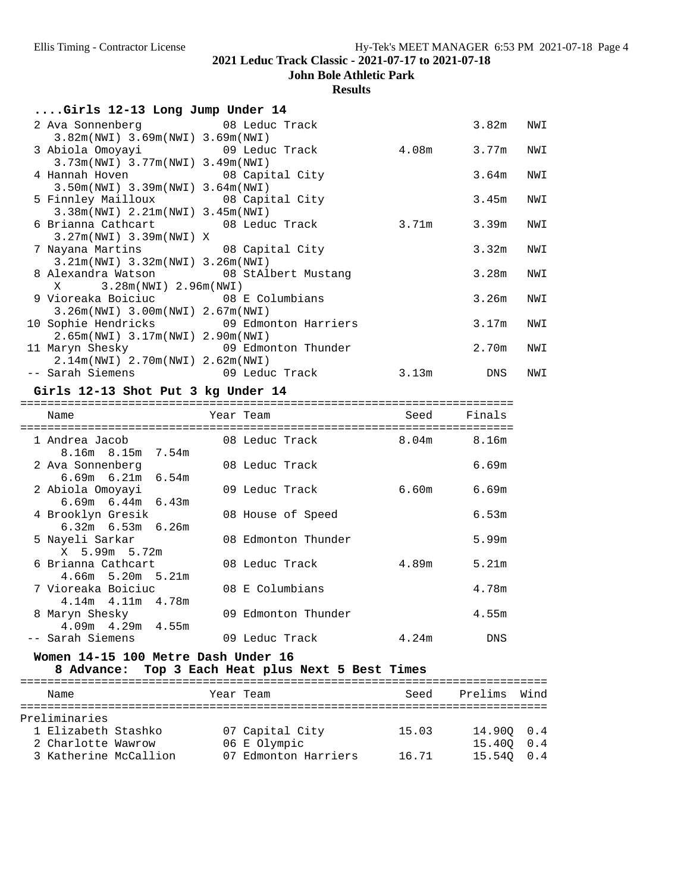**John Bole Athletic Park**

# **Results**

|  |  |  |  |  | Girls 12-13 Long Jump Under 14 |  |
|--|--|--|--|--|--------------------------------|--|
|--|--|--|--|--|--------------------------------|--|

| 2 Ava Sonnenberg 68 Leduc Track                         |                                          |       | 3.82m | NWI |
|---------------------------------------------------------|------------------------------------------|-------|-------|-----|
| $3.82m(NWT)$ 3.69 $m(NWT)$ 3.69 $m(NWT)$                |                                          |       |       |     |
| 3 Abiola Omoyayi                         09 Leduc Track |                                          | 4.08m | 3.77m | NWI |
| $3.73m(NWL)$ 3.77 $m(NWL)$ 3.49 $m(NWL)$                |                                          |       |       |     |
| 4 Hannah Hoven 08 Capital City                          |                                          |       | 3.64m | NWI |
| $3.50m(NWI)$ 3.39 $m(NWI)$ 3.64 $m(NWI)$                |                                          |       |       |     |
| 5 Finnley Mailloux 08 Capital City                      |                                          |       | 3.45m | NWI |
| 3.38m(NWI) 2.21m(NWI) 3.45m(NWI)                        |                                          |       |       |     |
| 6 Brianna Cathcart 18 08 Leduc Track                    |                                          | 3.71m | 3.39m | NWI |
| $3.27m(NWI)$ 3.39 $m(NWI)$ X                            |                                          |       |       |     |
| 7 Nayana Martins 68 Capital City                        |                                          |       | 3.32m | NWI |
| $3.21m(NWI)$ $3.32m(NWI)$ $3.26m(NWI)$                  |                                          |       |       |     |
| 8 Alexandra Watson 68 StAlbert Mustang                  |                                          |       | 3.28m | NWI |
| $X$ 3.28m(NWI) 2.96m(NWI)                               |                                          |       |       |     |
| 9 Vioreaka Boiciuc               08 E Columbians        |                                          |       | 3.26m | NWI |
| $3.26m(NWL)$ 3.00 $m(NWL)$ 2.67 $m(NWL)$                |                                          |       |       |     |
|                                                         | 10 Sophie Hendricks 69 Edmonton Harriers |       | 3.17m | NWI |
| $2.65m(NWI)$ 3.17 $m(NWI)$ 2.90 $m(NWI)$                |                                          |       |       |     |
| 11 Maryn Shesky 69 Edmonton Thunder                     |                                          |       | 2.70m | NWI |
| 2.14m(NWI) 2.70m(NWI) 2.62m(NWI)                        |                                          |       |       |     |
|                                                         |                                          | 3.13m | DNS   | NWI |

#### **Girls 12-13 Shot Put 3 kg Under 14**

=========================================================================

| Name                                          | Year Team           | Seed              | Finals     |
|-----------------------------------------------|---------------------|-------------------|------------|
| 1 Andrea Jacob<br>8.16m 8.15m 7.54m           | 08 Leduc Track      | 8.04 <sub>m</sub> | 8.16m      |
| 2 Ava Sonnenberg<br>$6.69m$ $6.21m$ $6.54m$   | 08 Leduc Track      |                   | 6.69m      |
| 2 Abiola Omoyayi<br>$6.69m$ $6.44m$ $6.43m$   | 09 Leduc Track      | 6.60m             | 6.69m      |
| 4 Brooklyn Gresik<br>$6.32m$ $6.53m$ $6.26m$  | 08 House of Speed   |                   | 6.53m      |
| 5 Nayeli Sarkar<br>X 5.99m 5.72m              | 08 Edmonton Thunder |                   | 5.99m      |
| 6 Brianna Cathcart<br>$4.66m$ 5.20m 5.21m     | 08 Leduc Track      | 4.89m             | 5.21m      |
| 7 Vioreaka Boiciuc<br>$4.14m$ $4.11m$ $4.78m$ | 08 E Columbians     |                   | 4.78m      |
| 8 Maryn Shesky<br>$4.09m$ $4.29m$ $4.55m$     | 09 Edmonton Thunder |                   | 4.55m      |
| -- Sarah Siemens                              | 09 Leduc Track      | 4.24m             | <b>DNS</b> |

# **Women 14-15 100 Metre Dash Under 16**

**8 Advance: Top 3 Each Heat plus Next 5 Best Times**

| Name                  |  | Year Team            | Seed  | Prelims    | Wind |
|-----------------------|--|----------------------|-------|------------|------|
| Preliminaries         |  |                      |       |            |      |
| 1 Elizabeth Stashko   |  | 07 Capital City      | 15.03 | 14.900 0.4 |      |
| 2 Charlotte Wawrow    |  | 06 E Olympic         |       | 15.400 0.4 |      |
| 3 Katherine McCallion |  | 07 Edmonton Harriers | 16.71 | 15.540 0.4 |      |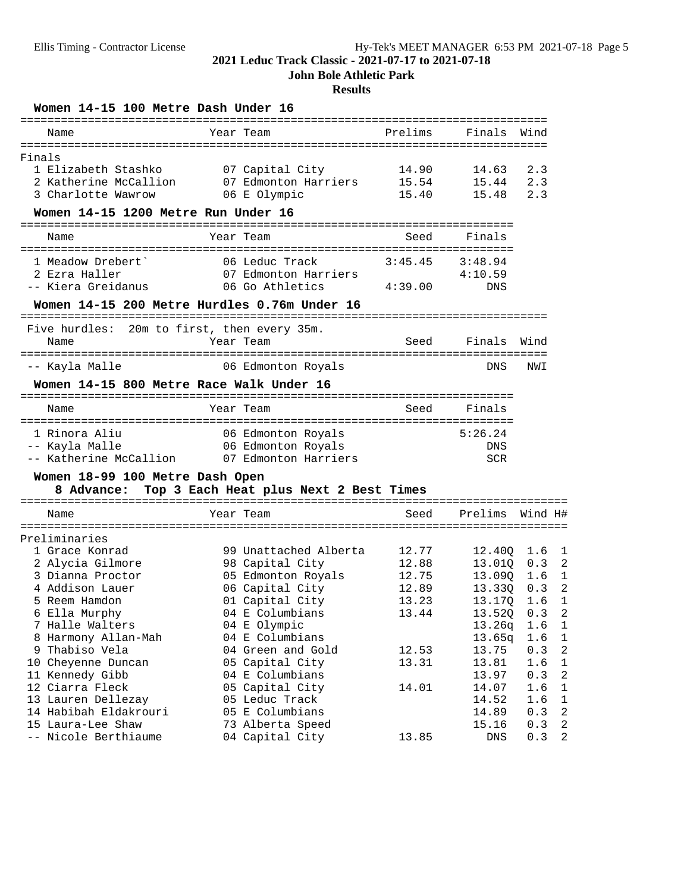**John Bole Athletic Park**

# **Results**

| Year Team<br>Prelims<br>Finals<br>Wind<br>Name<br>======================================<br>Finals<br>07 Capital City<br>2.3<br>1 Elizabeth Stashko<br>14.90<br>14.63<br>2 Katherine McCallion<br>07 Edmonton Harriers<br>15.54<br>15.44<br>2.3<br>3 Charlotte Wawrow<br>06 E Olympic<br>15.40<br>15.48<br>2.3<br>Women 14-15 1200 Metre Run Under 16<br>Year Team<br>Seed<br>Finals<br>Name<br>3:45.45<br>1 Meadow Drebert`<br>06 Leduc Track<br>3:48.94<br>2 Ezra Haller<br>07 Edmonton Harriers<br>4:10.59<br>-- Kiera Greidanus<br>06 Go Athletics<br>4:39.00<br>DNS<br>Women 14-15 200 Metre Hurdles 0.76m Under 16<br>20m to first, then every 35m.<br>Five hurdles:<br>Seed<br>Finals<br>Name<br>Year Team<br>Wind<br>-- Kayla Malle<br>06 Edmonton Royals<br>DNS<br>NWI<br>Women 14-15 800 Metre Race Walk Under 16<br>Year Team<br>Seed<br>Finals<br>Name<br>1 Rinora Aliu<br>5:26.24<br>06 Edmonton Royals<br>-- Kayla Malle<br>06 Edmonton Royals<br>DNS<br>-- Katherine McCallion<br>07 Edmonton Harriers<br><b>SCR</b><br>Women 18-99 100 Metre Dash Open<br>Top 3 Each Heat plus Next 2 Best Times<br>8 Advance:<br>Year Team<br>Prelims<br>Name<br>Seed<br>Wind H#<br>Preliminaries<br>1 Grace Konrad<br>99 Unattached Alberta<br>12.77<br>12.400<br>1.6<br>98 Capital City<br>12.88<br>2 Alycia Gilmore<br>13.010<br>0.3<br>05 Edmonton Royals<br>3 Dianna Proctor<br>12.75<br>13.090<br>1.6<br>06 Capital City<br>4 Addison Lauer<br>12.89<br>13.330<br>0.3<br>5 Reem Hamdon<br>01 Capital City<br>13.17Q<br>13.23<br>1.6<br>6 Ella Murphy<br>04 E Columbians<br>13.44<br>13.52Q<br>0.3<br>7 Halle Walters<br>04 E Olympic<br>13.26q<br>1.6<br>8 Harmony Allan-Mah<br>04 E Columbians<br>13.65q<br>1.6<br>9 Thabiso Vela<br>04 Green and Gold<br>12.53<br>13.75<br>0.3<br>10 Cheyenne Duncan<br>05 Capital City<br>13.31<br>13.81<br>1.6<br>11 Kennedy Gibb<br>04 E Columbians<br>0.3<br>13.97<br>12 Ciarra Fleck<br>05 Capital City<br>14.01<br>14.07<br>1.6<br>13 Lauren Dellezay<br>05 Leduc Track<br>14.52<br>1.6<br>14 Habibah Eldakrouri<br>05 E Columbians<br>14.89<br>0.3<br>15 Laura-Lee Shaw<br>73 Alberta Speed<br>0.3<br>15.16<br>13.85<br>-- Nicole Berthiaume<br>04 Capital City<br>0.3<br>DNS | Women 14-15 100 Metre Dash Under 16 |  |  |                |
|-------------------------------------------------------------------------------------------------------------------------------------------------------------------------------------------------------------------------------------------------------------------------------------------------------------------------------------------------------------------------------------------------------------------------------------------------------------------------------------------------------------------------------------------------------------------------------------------------------------------------------------------------------------------------------------------------------------------------------------------------------------------------------------------------------------------------------------------------------------------------------------------------------------------------------------------------------------------------------------------------------------------------------------------------------------------------------------------------------------------------------------------------------------------------------------------------------------------------------------------------------------------------------------------------------------------------------------------------------------------------------------------------------------------------------------------------------------------------------------------------------------------------------------------------------------------------------------------------------------------------------------------------------------------------------------------------------------------------------------------------------------------------------------------------------------------------------------------------------------------------------------------------------------------------------------------------------------------------------------------------------------------------------------------------------------------------------------------------------------------------------------------------------------------------------------------------------------------------------|-------------------------------------|--|--|----------------|
|                                                                                                                                                                                                                                                                                                                                                                                                                                                                                                                                                                                                                                                                                                                                                                                                                                                                                                                                                                                                                                                                                                                                                                                                                                                                                                                                                                                                                                                                                                                                                                                                                                                                                                                                                                                                                                                                                                                                                                                                                                                                                                                                                                                                                               |                                     |  |  |                |
|                                                                                                                                                                                                                                                                                                                                                                                                                                                                                                                                                                                                                                                                                                                                                                                                                                                                                                                                                                                                                                                                                                                                                                                                                                                                                                                                                                                                                                                                                                                                                                                                                                                                                                                                                                                                                                                                                                                                                                                                                                                                                                                                                                                                                               |                                     |  |  |                |
|                                                                                                                                                                                                                                                                                                                                                                                                                                                                                                                                                                                                                                                                                                                                                                                                                                                                                                                                                                                                                                                                                                                                                                                                                                                                                                                                                                                                                                                                                                                                                                                                                                                                                                                                                                                                                                                                                                                                                                                                                                                                                                                                                                                                                               |                                     |  |  |                |
|                                                                                                                                                                                                                                                                                                                                                                                                                                                                                                                                                                                                                                                                                                                                                                                                                                                                                                                                                                                                                                                                                                                                                                                                                                                                                                                                                                                                                                                                                                                                                                                                                                                                                                                                                                                                                                                                                                                                                                                                                                                                                                                                                                                                                               |                                     |  |  |                |
|                                                                                                                                                                                                                                                                                                                                                                                                                                                                                                                                                                                                                                                                                                                                                                                                                                                                                                                                                                                                                                                                                                                                                                                                                                                                                                                                                                                                                                                                                                                                                                                                                                                                                                                                                                                                                                                                                                                                                                                                                                                                                                                                                                                                                               |                                     |  |  |                |
|                                                                                                                                                                                                                                                                                                                                                                                                                                                                                                                                                                                                                                                                                                                                                                                                                                                                                                                                                                                                                                                                                                                                                                                                                                                                                                                                                                                                                                                                                                                                                                                                                                                                                                                                                                                                                                                                                                                                                                                                                                                                                                                                                                                                                               |                                     |  |  |                |
|                                                                                                                                                                                                                                                                                                                                                                                                                                                                                                                                                                                                                                                                                                                                                                                                                                                                                                                                                                                                                                                                                                                                                                                                                                                                                                                                                                                                                                                                                                                                                                                                                                                                                                                                                                                                                                                                                                                                                                                                                                                                                                                                                                                                                               |                                     |  |  |                |
|                                                                                                                                                                                                                                                                                                                                                                                                                                                                                                                                                                                                                                                                                                                                                                                                                                                                                                                                                                                                                                                                                                                                                                                                                                                                                                                                                                                                                                                                                                                                                                                                                                                                                                                                                                                                                                                                                                                                                                                                                                                                                                                                                                                                                               |                                     |  |  |                |
|                                                                                                                                                                                                                                                                                                                                                                                                                                                                                                                                                                                                                                                                                                                                                                                                                                                                                                                                                                                                                                                                                                                                                                                                                                                                                                                                                                                                                                                                                                                                                                                                                                                                                                                                                                                                                                                                                                                                                                                                                                                                                                                                                                                                                               |                                     |  |  |                |
|                                                                                                                                                                                                                                                                                                                                                                                                                                                                                                                                                                                                                                                                                                                                                                                                                                                                                                                                                                                                                                                                                                                                                                                                                                                                                                                                                                                                                                                                                                                                                                                                                                                                                                                                                                                                                                                                                                                                                                                                                                                                                                                                                                                                                               |                                     |  |  |                |
|                                                                                                                                                                                                                                                                                                                                                                                                                                                                                                                                                                                                                                                                                                                                                                                                                                                                                                                                                                                                                                                                                                                                                                                                                                                                                                                                                                                                                                                                                                                                                                                                                                                                                                                                                                                                                                                                                                                                                                                                                                                                                                                                                                                                                               |                                     |  |  |                |
|                                                                                                                                                                                                                                                                                                                                                                                                                                                                                                                                                                                                                                                                                                                                                                                                                                                                                                                                                                                                                                                                                                                                                                                                                                                                                                                                                                                                                                                                                                                                                                                                                                                                                                                                                                                                                                                                                                                                                                                                                                                                                                                                                                                                                               |                                     |  |  |                |
|                                                                                                                                                                                                                                                                                                                                                                                                                                                                                                                                                                                                                                                                                                                                                                                                                                                                                                                                                                                                                                                                                                                                                                                                                                                                                                                                                                                                                                                                                                                                                                                                                                                                                                                                                                                                                                                                                                                                                                                                                                                                                                                                                                                                                               |                                     |  |  |                |
|                                                                                                                                                                                                                                                                                                                                                                                                                                                                                                                                                                                                                                                                                                                                                                                                                                                                                                                                                                                                                                                                                                                                                                                                                                                                                                                                                                                                                                                                                                                                                                                                                                                                                                                                                                                                                                                                                                                                                                                                                                                                                                                                                                                                                               |                                     |  |  |                |
|                                                                                                                                                                                                                                                                                                                                                                                                                                                                                                                                                                                                                                                                                                                                                                                                                                                                                                                                                                                                                                                                                                                                                                                                                                                                                                                                                                                                                                                                                                                                                                                                                                                                                                                                                                                                                                                                                                                                                                                                                                                                                                                                                                                                                               |                                     |  |  |                |
|                                                                                                                                                                                                                                                                                                                                                                                                                                                                                                                                                                                                                                                                                                                                                                                                                                                                                                                                                                                                                                                                                                                                                                                                                                                                                                                                                                                                                                                                                                                                                                                                                                                                                                                                                                                                                                                                                                                                                                                                                                                                                                                                                                                                                               |                                     |  |  |                |
|                                                                                                                                                                                                                                                                                                                                                                                                                                                                                                                                                                                                                                                                                                                                                                                                                                                                                                                                                                                                                                                                                                                                                                                                                                                                                                                                                                                                                                                                                                                                                                                                                                                                                                                                                                                                                                                                                                                                                                                                                                                                                                                                                                                                                               |                                     |  |  |                |
|                                                                                                                                                                                                                                                                                                                                                                                                                                                                                                                                                                                                                                                                                                                                                                                                                                                                                                                                                                                                                                                                                                                                                                                                                                                                                                                                                                                                                                                                                                                                                                                                                                                                                                                                                                                                                                                                                                                                                                                                                                                                                                                                                                                                                               |                                     |  |  |                |
|                                                                                                                                                                                                                                                                                                                                                                                                                                                                                                                                                                                                                                                                                                                                                                                                                                                                                                                                                                                                                                                                                                                                                                                                                                                                                                                                                                                                                                                                                                                                                                                                                                                                                                                                                                                                                                                                                                                                                                                                                                                                                                                                                                                                                               |                                     |  |  |                |
|                                                                                                                                                                                                                                                                                                                                                                                                                                                                                                                                                                                                                                                                                                                                                                                                                                                                                                                                                                                                                                                                                                                                                                                                                                                                                                                                                                                                                                                                                                                                                                                                                                                                                                                                                                                                                                                                                                                                                                                                                                                                                                                                                                                                                               |                                     |  |  |                |
|                                                                                                                                                                                                                                                                                                                                                                                                                                                                                                                                                                                                                                                                                                                                                                                                                                                                                                                                                                                                                                                                                                                                                                                                                                                                                                                                                                                                                                                                                                                                                                                                                                                                                                                                                                                                                                                                                                                                                                                                                                                                                                                                                                                                                               |                                     |  |  |                |
|                                                                                                                                                                                                                                                                                                                                                                                                                                                                                                                                                                                                                                                                                                                                                                                                                                                                                                                                                                                                                                                                                                                                                                                                                                                                                                                                                                                                                                                                                                                                                                                                                                                                                                                                                                                                                                                                                                                                                                                                                                                                                                                                                                                                                               |                                     |  |  |                |
|                                                                                                                                                                                                                                                                                                                                                                                                                                                                                                                                                                                                                                                                                                                                                                                                                                                                                                                                                                                                                                                                                                                                                                                                                                                                                                                                                                                                                                                                                                                                                                                                                                                                                                                                                                                                                                                                                                                                                                                                                                                                                                                                                                                                                               |                                     |  |  |                |
|                                                                                                                                                                                                                                                                                                                                                                                                                                                                                                                                                                                                                                                                                                                                                                                                                                                                                                                                                                                                                                                                                                                                                                                                                                                                                                                                                                                                                                                                                                                                                                                                                                                                                                                                                                                                                                                                                                                                                                                                                                                                                                                                                                                                                               |                                     |  |  |                |
|                                                                                                                                                                                                                                                                                                                                                                                                                                                                                                                                                                                                                                                                                                                                                                                                                                                                                                                                                                                                                                                                                                                                                                                                                                                                                                                                                                                                                                                                                                                                                                                                                                                                                                                                                                                                                                                                                                                                                                                                                                                                                                                                                                                                                               |                                     |  |  |                |
|                                                                                                                                                                                                                                                                                                                                                                                                                                                                                                                                                                                                                                                                                                                                                                                                                                                                                                                                                                                                                                                                                                                                                                                                                                                                                                                                                                                                                                                                                                                                                                                                                                                                                                                                                                                                                                                                                                                                                                                                                                                                                                                                                                                                                               |                                     |  |  |                |
|                                                                                                                                                                                                                                                                                                                                                                                                                                                                                                                                                                                                                                                                                                                                                                                                                                                                                                                                                                                                                                                                                                                                                                                                                                                                                                                                                                                                                                                                                                                                                                                                                                                                                                                                                                                                                                                                                                                                                                                                                                                                                                                                                                                                                               |                                     |  |  | 1              |
|                                                                                                                                                                                                                                                                                                                                                                                                                                                                                                                                                                                                                                                                                                                                                                                                                                                                                                                                                                                                                                                                                                                                                                                                                                                                                                                                                                                                                                                                                                                                                                                                                                                                                                                                                                                                                                                                                                                                                                                                                                                                                                                                                                                                                               |                                     |  |  | $\overline{2}$ |
|                                                                                                                                                                                                                                                                                                                                                                                                                                                                                                                                                                                                                                                                                                                                                                                                                                                                                                                                                                                                                                                                                                                                                                                                                                                                                                                                                                                                                                                                                                                                                                                                                                                                                                                                                                                                                                                                                                                                                                                                                                                                                                                                                                                                                               |                                     |  |  | $1\,$          |
|                                                                                                                                                                                                                                                                                                                                                                                                                                                                                                                                                                                                                                                                                                                                                                                                                                                                                                                                                                                                                                                                                                                                                                                                                                                                                                                                                                                                                                                                                                                                                                                                                                                                                                                                                                                                                                                                                                                                                                                                                                                                                                                                                                                                                               |                                     |  |  | 2              |
|                                                                                                                                                                                                                                                                                                                                                                                                                                                                                                                                                                                                                                                                                                                                                                                                                                                                                                                                                                                                                                                                                                                                                                                                                                                                                                                                                                                                                                                                                                                                                                                                                                                                                                                                                                                                                                                                                                                                                                                                                                                                                                                                                                                                                               |                                     |  |  | 1              |
|                                                                                                                                                                                                                                                                                                                                                                                                                                                                                                                                                                                                                                                                                                                                                                                                                                                                                                                                                                                                                                                                                                                                                                                                                                                                                                                                                                                                                                                                                                                                                                                                                                                                                                                                                                                                                                                                                                                                                                                                                                                                                                                                                                                                                               |                                     |  |  | 2              |
|                                                                                                                                                                                                                                                                                                                                                                                                                                                                                                                                                                                                                                                                                                                                                                                                                                                                                                                                                                                                                                                                                                                                                                                                                                                                                                                                                                                                                                                                                                                                                                                                                                                                                                                                                                                                                                                                                                                                                                                                                                                                                                                                                                                                                               |                                     |  |  | $\mathbf 1$    |
|                                                                                                                                                                                                                                                                                                                                                                                                                                                                                                                                                                                                                                                                                                                                                                                                                                                                                                                                                                                                                                                                                                                                                                                                                                                                                                                                                                                                                                                                                                                                                                                                                                                                                                                                                                                                                                                                                                                                                                                                                                                                                                                                                                                                                               |                                     |  |  | $\mathbf 1$    |
|                                                                                                                                                                                                                                                                                                                                                                                                                                                                                                                                                                                                                                                                                                                                                                                                                                                                                                                                                                                                                                                                                                                                                                                                                                                                                                                                                                                                                                                                                                                                                                                                                                                                                                                                                                                                                                                                                                                                                                                                                                                                                                                                                                                                                               |                                     |  |  | $\sqrt{2}$     |
|                                                                                                                                                                                                                                                                                                                                                                                                                                                                                                                                                                                                                                                                                                                                                                                                                                                                                                                                                                                                                                                                                                                                                                                                                                                                                                                                                                                                                                                                                                                                                                                                                                                                                                                                                                                                                                                                                                                                                                                                                                                                                                                                                                                                                               |                                     |  |  | $\mathbf 1$    |
|                                                                                                                                                                                                                                                                                                                                                                                                                                                                                                                                                                                                                                                                                                                                                                                                                                                                                                                                                                                                                                                                                                                                                                                                                                                                                                                                                                                                                                                                                                                                                                                                                                                                                                                                                                                                                                                                                                                                                                                                                                                                                                                                                                                                                               |                                     |  |  | $\sqrt{2}$     |
|                                                                                                                                                                                                                                                                                                                                                                                                                                                                                                                                                                                                                                                                                                                                                                                                                                                                                                                                                                                                                                                                                                                                                                                                                                                                                                                                                                                                                                                                                                                                                                                                                                                                                                                                                                                                                                                                                                                                                                                                                                                                                                                                                                                                                               |                                     |  |  | $1\,$          |
|                                                                                                                                                                                                                                                                                                                                                                                                                                                                                                                                                                                                                                                                                                                                                                                                                                                                                                                                                                                                                                                                                                                                                                                                                                                                                                                                                                                                                                                                                                                                                                                                                                                                                                                                                                                                                                                                                                                                                                                                                                                                                                                                                                                                                               |                                     |  |  | $\mathbf{1}$   |
|                                                                                                                                                                                                                                                                                                                                                                                                                                                                                                                                                                                                                                                                                                                                                                                                                                                                                                                                                                                                                                                                                                                                                                                                                                                                                                                                                                                                                                                                                                                                                                                                                                                                                                                                                                                                                                                                                                                                                                                                                                                                                                                                                                                                                               |                                     |  |  | $\sqrt{2}$     |
|                                                                                                                                                                                                                                                                                                                                                                                                                                                                                                                                                                                                                                                                                                                                                                                                                                                                                                                                                                                                                                                                                                                                                                                                                                                                                                                                                                                                                                                                                                                                                                                                                                                                                                                                                                                                                                                                                                                                                                                                                                                                                                                                                                                                                               |                                     |  |  | $\sqrt{2}$     |
|                                                                                                                                                                                                                                                                                                                                                                                                                                                                                                                                                                                                                                                                                                                                                                                                                                                                                                                                                                                                                                                                                                                                                                                                                                                                                                                                                                                                                                                                                                                                                                                                                                                                                                                                                                                                                                                                                                                                                                                                                                                                                                                                                                                                                               |                                     |  |  | $\sqrt{2}$     |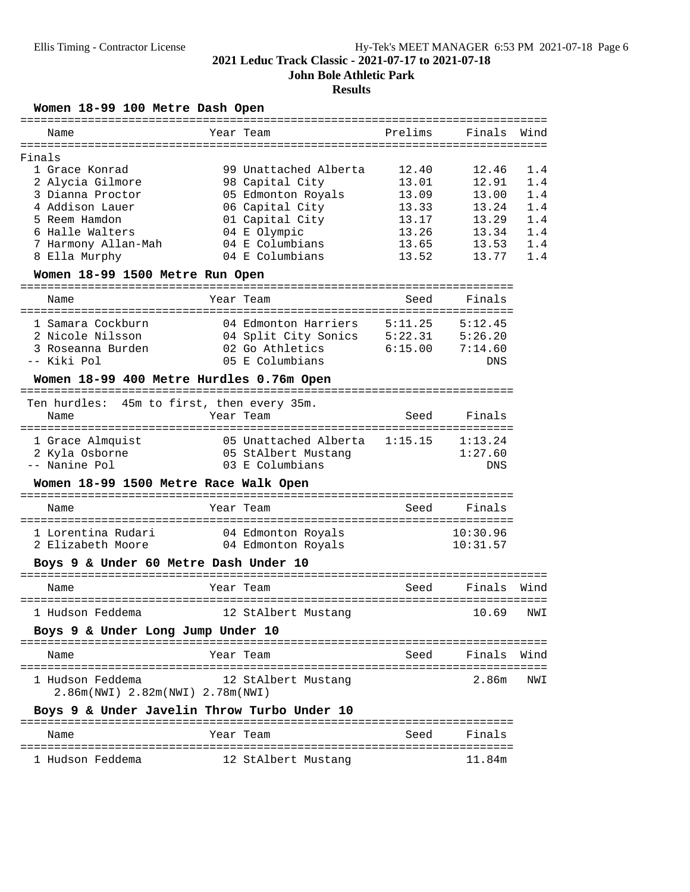**John Bole Athletic Park**

# **Results**

**Women 18-99 100 Metre Dash Open**

| Name                                                   | Year Team                            | Prelims  | Finals              | Wind |
|--------------------------------------------------------|--------------------------------------|----------|---------------------|------|
| Finals                                                 |                                      |          |                     |      |
| 1 Grace Konrad                                         | 99 Unattached Alberta                | 12.40    | 12.46               | 1.4  |
| 2 Alycia Gilmore                                       | 98 Capital City                      | 13.01    | 12.91               | 1.4  |
| 3 Dianna Proctor                                       | 05 Edmonton Royals                   | 13.09    | 13.00               | 1.4  |
| 4 Addison Lauer                                        | 06 Capital City                      | 13.33    | 13.24               | 1.4  |
| 5 Reem Hamdon                                          | 01 Capital City                      | 13.17    | 13.29               | 1.4  |
| 6 Halle Walters                                        | 04 E Olympic                         | 13.26    | 13.34               | 1.4  |
| 7 Harmony Allan-Mah                                    | 04 E Columbians                      | 13.65    | 13.53               | 1.4  |
| 8 Ella Murphy                                          | 04 E Columbians                      | 13.52    | 13.77               | 1.4  |
| Women 18-99 1500 Metre Run Open                        |                                      |          |                     |      |
| Name                                                   | Year Team                            | Seed     | Finals              |      |
| 1 Samara Cockburn                                      | 04 Edmonton Harriers                 |          | $5:11.25$ $5:12.45$ |      |
| 2 Nicole Nilsson                                       | 04 Split City Sonics 5:22.31 5:26.20 |          |                     |      |
| 3 Roseanna Burden                                      | 02 Go Athletics                      | 6:15.00  | 7:14.60             |      |
| -- Kiki Pol                                            | 05 E Columbians                      |          | DNS                 |      |
| Women 18-99 400 Metre Hurdles 0.76m Open               |                                      |          |                     |      |
| Ten hurdles: 45m to first, then every 35m.             |                                      |          |                     |      |
| Name                                                   | Year Team                            | Seed     | Finals              |      |
| 1 Grace Almquist 05 Unattached Alberta 1:15.15 1:13.24 |                                      |          |                     |      |
| 2 Kyla Osborne                                         | 05 StAlbert Mustang                  |          | 1:27.60             |      |
| -- Nanine Pol                                          | 03 E Columbians                      |          | DNS                 |      |
| Women 18-99 1500 Metre Race Walk Open                  |                                      |          |                     |      |
|                                                        |                                      |          |                     |      |
| Name                                                   | Year Team                            |          | Seed Finals         |      |
| 1 Lorentina Rudari (04 Edmonton Royals                 |                                      | 10:30.96 |                     |      |
| 2 Elizabeth Moore 64 Edmonton Royals                   |                                      |          | 10:31.57            |      |
| Boys 9 & Under 60 Metre Dash Under 10                  |                                      |          |                     |      |
|                                                        |                                      |          |                     |      |
| Name                                                   | Year Team                            | Seed     | Finals              | Wind |
| 1 Hudson Feddema                                       | 12 StAlbert Mustang                  |          | 10.69               | NWI  |
| Boys 9 & Under Long Jump Under 10                      |                                      |          |                     |      |
| Name                                                   | Year Team                            | Seed     | Finals              | Wind |
| 1 Hudson Feddema                                       | 12 StAlbert Mustang                  |          | 2.86m               | NWI  |
| 2.86m(NWI) 2.82m(NWI) 2.78m(NWI)                       |                                      |          |                     |      |
| Boys 9 & Under Javelin Throw Turbo Under 10            |                                      |          |                     |      |
| Name                                                   | Year Team                            | Seed     | Finals              |      |
| 1 Hudson Feddema                                       | 12 StAlbert Mustang                  |          | 11.84m              |      |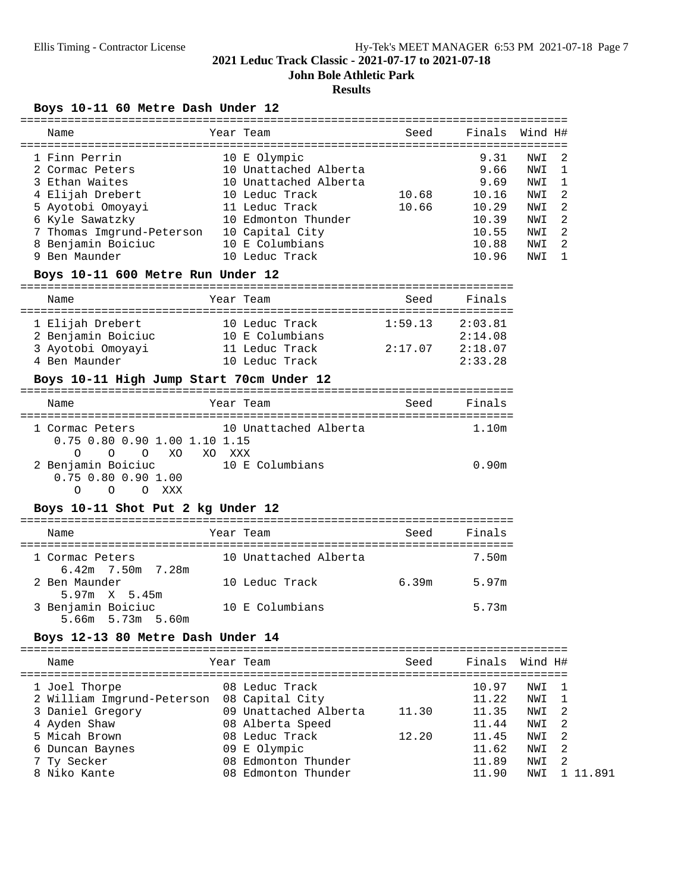**John Bole Athletic Park**

#### **Results**

# **Boys 10-11 60 Metre Dash Under 12**

| Name                      | Year Team             | Seed  | Finals | Wind H# |                            |
|---------------------------|-----------------------|-------|--------|---------|----------------------------|
| 1 Finn Perrin             | 10 E Olympic          |       | 9.31   | NWI     | $\overline{2}$             |
| 2 Cormac Peters           | 10 Unattached Alberta |       | 9.66   | NWI     | $\mathbf{1}$               |
| 3 Ethan Waites            | 10 Unattached Alberta |       | 9.69   | NWI     | $\mathbf{1}$               |
| 4 Elijah Drebert          | 10 Leduc Track        | 10.68 | 10.16  | NWI     | $\overline{2}$             |
| 5 Ayotobi Omoyayi         | 11 Leduc Track        | 10.66 | 10.29  | NWI     | $\overline{2}$             |
| 6 Kyle Sawatzky           | 10 Edmonton Thunder   |       | 10.39  | NWI     | $\overline{\phantom{0}}^2$ |
| 7 Thomas Imgrund-Peterson | 10 Capital City       |       | 10.55  | NWI     | $\overline{2}$             |
| 8 Benjamin Boiciuc        | 10 E Columbians       |       | 10.88  | NWI     | $\overline{2}$             |
| 9 Ben Maunder             | 10 Leduc Track        |       | 10.96  | NWI     | $\overline{1}$             |
|                           |                       |       |        |         |                            |

# **Boys 10-11 600 Metre Run Under 12**

| --<br>---- |              | -----------                                                               |  |
|------------|--------------|---------------------------------------------------------------------------|--|
| Name       | Year<br>Team | $T_{\rm eff}$ .<br>Seed<br>$\sim$ $\sim$<br>н<br>$\overline{\phantom{0}}$ |  |

| 1 Elijah Drebert   | 10 Leduc Track  | 1:59.13 | 2:03.81 |
|--------------------|-----------------|---------|---------|
| 2 Benjamin Boiciuc | 10 E Columbians |         | 2:14.08 |
| 3 Ayotobi Omoyayi  | 11 Leduc Track  | 2:17.07 | 2:18.07 |
| 4 Ben Maunder      | 10 Leduc Track  |         | 2:33.28 |

# **Boys 10-11 High Jump Start 70cm Under 12**

| Name                                                                                       | Year Team              | Seed | Finals |
|--------------------------------------------------------------------------------------------|------------------------|------|--------|
| 1 Cormac Peters<br>$0.75$ 0.80 0.90 1.00 1.10 1.15                                         | 10 Unattached Alberta  |      | 1.10m  |
| XO.<br>$\cap$<br>XO.<br>$\Omega$<br>∩<br>2 Benjamin Boiciuc<br>$0.75$ $0.80$ $0.90$ $1.00$ | xxx<br>10 E Columbians |      | 0.90m  |

# **Boys 10-11 Shot Put 2 kg Under 12**

| Name                                    | Year Team             | Seed  | Finals |
|-----------------------------------------|-----------------------|-------|--------|
| 1 Cormac Peters<br>6.42m 7.50m 7.28m    | 10 Unattached Alberta |       | 7.50m  |
| 2 Ben Maunder<br>$5.97m \times 5.45m$   | 10 Leduc Track        | 6.39m | 5.97m  |
| 3 Benjamin Boiciuc<br>5.66m 5.73m 5.60m | 10 E Columbians       |       | 5.73m  |

#### **Boys 12-13 80 Metre Dash Under 14**

| Name                       |     | Year Team             | Seed  | Finals Wind H# |     |      |
|----------------------------|-----|-----------------------|-------|----------------|-----|------|
| 1 Joel Thorpe              |     | 08 Leduc Track        |       | 10.97          | NWI |      |
| 2 William Imgrund-Peterson |     | 08 Capital City       |       | 11.22          | NWI |      |
| 3 Daniel Gregory           |     | 09 Unattached Alberta | 11.30 | 11.35          | NWI | - 2. |
| 4 Ayden Shaw               |     | 08 Alberta Speed      |       | 11.44          | NWI | - 2. |
| 5 Micah Brown              |     | 08 Leduc Track        | 12.20 | 11.45          | NWI | -2   |
| 6 Duncan Baynes            |     | 09 E Olympic          |       | 11.62          | NWI | - 2. |
| 7 Ty Secker                |     | 08 Edmonton Thunder   |       | 11.89          | NWI | -2   |
| 8 Niko Kante               | 08. | Edmonton Thunder      |       | 11.90          | NWI |      |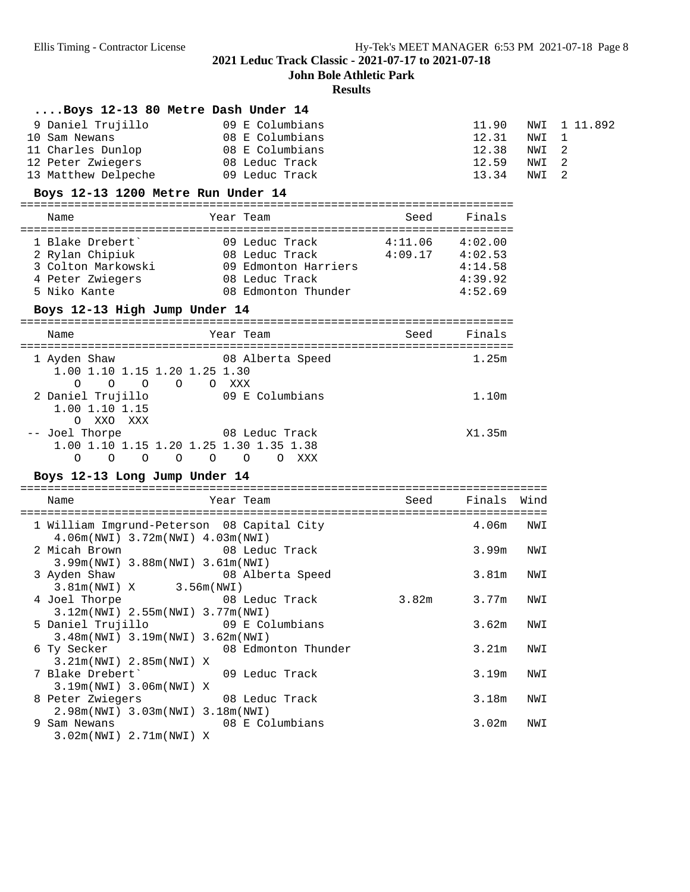**John Bole Athletic Park**

# **Results**

| Boys 12-13 80 Metre Dash Under 14                                                                                                  |                                                                                                                   |                     |                                           |                                 |                                         |
|------------------------------------------------------------------------------------------------------------------------------------|-------------------------------------------------------------------------------------------------------------------|---------------------|-------------------------------------------|---------------------------------|-----------------------------------------|
| 9 Daniel Trujillo<br>10 Sam Newans<br>11 Charles Dunlop 08 E Columbians<br>12 Peter Zwiegers<br>13 Matthew Delpeche 69 Leduc Track | 09 E Columbians<br>08 E Columbians<br>08 Leduc Track                                                              |                     | 11.90<br>12.31<br>12.38<br>12.59<br>13.34 | NWI<br>NWI<br>NWI<br>NWI<br>NWI | 1 11.892<br>$\mathbf{1}$<br>2<br>2<br>2 |
| Boys 12-13 1200 Metre Run Under 14                                                                                                 |                                                                                                                   |                     |                                           |                                 |                                         |
| Name                                                                                                                               | Year Team                                                                                                         | Seed                | Finals                                    |                                 |                                         |
|                                                                                                                                    |                                                                                                                   |                     |                                           |                                 |                                         |
| 1 Blake Drebert'<br>2 Rylan Chipiuk<br>3 Colton Markowski<br>4 Peter Zwiegers<br>5 Niko Kante                                      | 09 Leduc Track<br>08 Leduc Track 4:09.17 4:02.53<br>09 Edmonton Harriers<br>08 Leduc Track<br>08 Edmonton Thunder | $4:11.06$ $4:02.00$ | 4:14.58<br>4:39.92<br>4:52.69             |                                 |                                         |
| Boys 12-13 High Jump Under 14                                                                                                      |                                                                                                                   |                     |                                           |                                 |                                         |
| Name                                                                                                                               | Year Team                                                                                                         | Seed                | Finals                                    |                                 |                                         |
| 1 Ayden Shaw<br>1.00 1.10 1.15 1.20 1.25 1.30<br>$\circ$<br>$\circ$ $\circ$<br>O                                                   | 08 Alberta Speed<br>O XXX                                                                                         |                     | 1.25m                                     |                                 |                                         |
| 2 Daniel Trujillo<br>1.00 1.10 1.15<br>O XXO XXX                                                                                   | 09 E Columbians                                                                                                   |                     | 1.10 <sub>m</sub>                         |                                 |                                         |
| -- Joel Thorpe<br>$\circ$ $\circ$<br>$\Omega$                                                                                      | 08 Leduc Track<br>1.00 1.10 1.15 1.20 1.25 1.30 1.35 1.38<br>0 0 0 0 XXX                                          |                     | X1.35m                                    |                                 |                                         |
| Boys 12-13 Long Jump Under 14                                                                                                      |                                                                                                                   |                     |                                           |                                 |                                         |
| Name                                                                                                                               | Year Team                                                                                                         | Seed                | Finals                                    | Wind                            |                                         |
| 4.06m(NWI) 3.72m(NWI) 4.03m(NWI)                                                                                                   | 1 William Imgrund-Peterson 08 Capital City                                                                        |                     | 4.06m                                     | NWI                             |                                         |
| 2 Micah Brown<br>3.99m(NWI) 3.88m(NWI) 3.61m(NWI)                                                                                  | 08 Leduc Track                                                                                                    |                     | 3.99m                                     | NWI                             |                                         |
| 3 Ayden Shaw<br>3.81m(NWI) X 3.56m(NWI)                                                                                            | 08 Alberta Speed                                                                                                  |                     | 3.81m                                     | NWI                             |                                         |
| 4 Joel Thorpe<br>3.12m(NWI) 2.55m(NWI) 3.77m(NWI)                                                                                  | 08 Leduc Track                                                                                                    | 3.82m               | 3.77m                                     | NWI                             |                                         |
| 5 Daniel Trujillo<br>3.48m(NWI) 3.19m(NWI) 3.62m(NWI)                                                                              | 09 E Columbians                                                                                                   |                     | 3.62m                                     | NWI                             |                                         |
| 6 Ty Secker<br>3.21m(NWI) 2.85m(NWI) X                                                                                             | 08 Edmonton Thunder                                                                                               |                     | 3.21m                                     | NWI                             |                                         |
| 7 Blake Drebert'<br>3.19m(NWI) 3.06m(NWI) X                                                                                        | 09 Leduc Track                                                                                                    |                     | 3.19m                                     | NWI                             |                                         |
| 8 Peter Zwiegers<br>2.98m(NWI) 3.03m(NWI) 3.18m(NWI)                                                                               | 08 Leduc Track                                                                                                    |                     | 3.18m                                     | NWI                             |                                         |
| 9 Sam Newans<br>3.02m(NWI) 2.71m(NWI) X                                                                                            | 08 E Columbians                                                                                                   |                     | 3.02m                                     | NWI                             |                                         |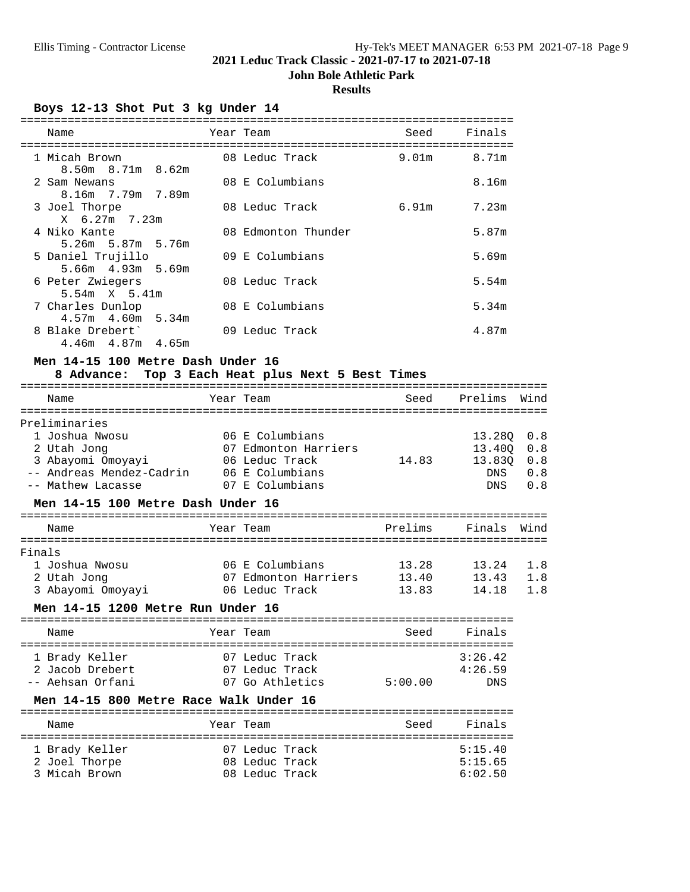# **John Bole Athletic Park**

# **Results**

**Boys 12-13 Shot Put 3 kg Under 14**

| Name                                        | Year Team           | Seed  | Finals |
|---------------------------------------------|---------------------|-------|--------|
| 1 Micah Brown<br>$8.50m$ $8.71m$ $8.62m$    | 08 Leduc Track      | 9.01m | 8.71m  |
| 2 Sam Newans<br>8.16m 7.79m 7.89m           | 08 E Columbians     |       | 8.16m  |
| 3 Joel Thorpe<br>X 6.27m 7.23m              | 08 Leduc Track      | 6.91m | 7.23m  |
| 4 Niko Kante<br>5.26m 5.87m 5.76m           | 08 Edmonton Thunder |       | 5.87m  |
| 5 Daniel Trujillo<br>5.66m  4.93m  5.69m    | 09 E Columbians     |       | 5.69m  |
| 6 Peter Zwiegers<br>$5.54m \tX 5.41m$       | 08 Leduc Track      |       | 5.54m  |
| 7 Charles Dunlop<br>$4.57m$ $4.60m$ $5.34m$ | 08 E Columbians     |       | 5.34m  |
| 8 Blake Drebert'<br>$4.46m$ $4.87m$ $4.65m$ | 09 Leduc Track      |       | 4.87m  |

# **Men 14-15 100 Metre Dash Under 16**

# **8 Advance: Top 3 Each Heat plus Next 5 Best Times**

|        | Name                                                                                                                               | Year Team                                                  |                          | Seed Prelims Wind                        |                                 |
|--------|------------------------------------------------------------------------------------------------------------------------------------|------------------------------------------------------------|--------------------------|------------------------------------------|---------------------------------|
|        | Preliminaries                                                                                                                      |                                                            |                          |                                          |                                 |
|        | 1 Joshua Nwosu<br>2 Utah Jong<br>3 Abayomi Omoyayi 66 Leduc Track<br>-- Andreas Mendez-Cadrin 06 E Columbians<br>-- Mathew Lacasse | 06 E Columbians<br>07 Edmonton Harriers<br>07 E Columbians | 14.83                    | 13.28Q<br>13.40Q<br>13.830<br>DNS<br>DNS | 0.8<br>0.8<br>0.8<br>0.8<br>0.8 |
|        | Men 14-15 100 Metre Dash Under 16                                                                                                  |                                                            |                          |                                          |                                 |
|        | Name                                                                                                                               | Year Team                                                  | Prelims                  | Finals                                   | Wind                            |
| Finals |                                                                                                                                    |                                                            |                          |                                          |                                 |
|        | 1 Joshua Nwosu                                                                                                                     | 06 E Columbians 13.28                                      |                          | 13.24                                    | 1.8                             |
|        | 2 Utah Jong                                                                                                                        | 07 Edmonton Harriers 13.40                                 |                          | 13.43                                    | 1.8                             |
|        | 3 Abayomi Omoyayi                                                                                                                  | 06 Leduc Track                                             | 13.83                    | 14.18                                    | 1.8                             |
|        | Men 14-15 1200 Metre Run Under 16                                                                                                  |                                                            |                          |                                          |                                 |
|        | Name                                                                                                                               | Year Team                                                  | seed Seed                | Finals                                   |                                 |
|        | ==================<br>1 Brady Keller                                                                                               | 07 Leduc Track                                             | ======================== | 3:26.42                                  |                                 |
|        | 2 Jacob Drebert                                                                                                                    | 07 Leduc Track                                             |                          | 4:26.59                                  |                                 |
|        | -- Aehsan Orfani                                                                                                                   | 07 Go Athletics                                            | 5:00.00                  | DNS                                      |                                 |
|        | Men 14-15 800 Metre Race Walk Under 16                                                                                             |                                                            |                          |                                          |                                 |

| Name           | Year Team      | Seed | Finals  |
|----------------|----------------|------|---------|
| 1 Brady Keller | 07 Leduc Track |      | 5:15.40 |
| 2 Joel Thorpe  | 08 Leduc Track |      | 5:15.65 |
| 3 Micah Brown  | 08 Leduc Track |      | 6:02.50 |